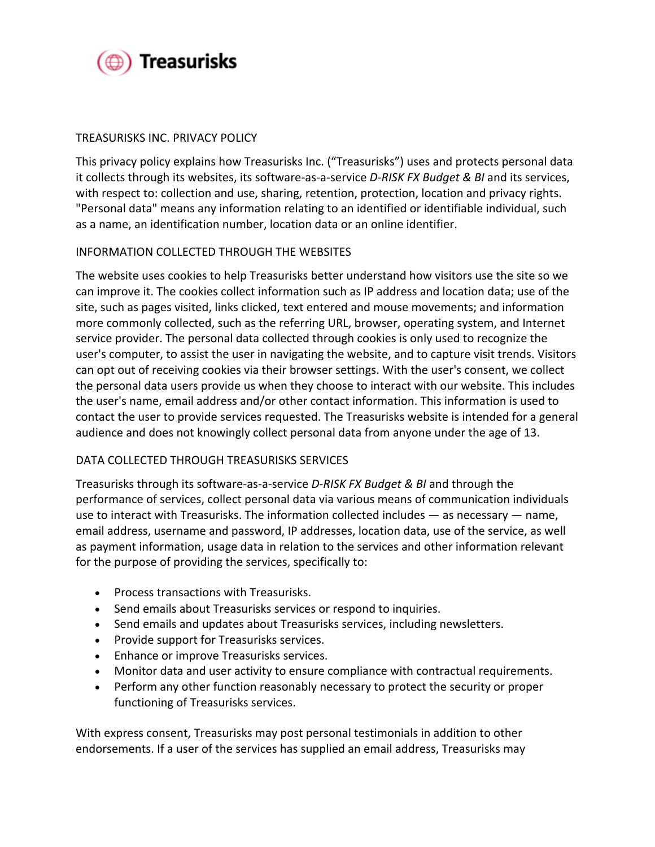

# TREASURISKS INC. PRIVACY POLICY

This privacy policy explains how Treasurisks Inc. ("Treasurisks") uses and protects personal data it collects through its websites, its software-as-a-service *D-RISK FX Budget & BI* and its services, with respect to: collection and use, sharing, retention, protection, location and privacy rights. "Personal data" means any information relating to an identified or identifiable individual, such as a name, an identification number, location data or an online identifier.

## INFORMATION COLLECTED THROUGH THE WEBSITES

The website uses cookies to help Treasurisks better understand how visitors use the site so we can improve it. The cookies collect information such as IP address and location data; use of the site, such as pages visited, links clicked, text entered and mouse movements; and information more commonly collected, such as the referring URL, browser, operating system, and Internet service provider. The personal data collected through cookies is only used to recognize the user's computer, to assist the user in navigating the website, and to capture visit trends. Visitors can opt out of receiving cookies via their browser settings. With the user's consent, we collect the personal data users provide us when they choose to interact with our website. This includes the user's name, email address and/or other contact information. This information is used to contact the user to provide services requested. The Treasurisks website is intended for a general audience and does not knowingly collect personal data from anyone under the age of 13.

## DATA COLLECTED THROUGH TREASURISKS SERVICES

Treasurisks through its software-as-a-service *D-RISK FX Budget & BI* and through the performance of services, collect personal data via various means of communication individuals use to interact with Treasurisks. The information collected includes — as necessary — name, email address, username and password, IP addresses, location data, use of the service, as well as payment information, usage data in relation to the services and other information relevant for the purpose of providing the services, specifically to:

- Process transactions with Treasurisks.
- Send emails about Treasurisks services or respond to inquiries.
- Send emails and updates about Treasurisks services, including newsletters.
- Provide support for Treasurisks services.
- Enhance or improve Treasurisks services.
- Monitor data and user activity to ensure compliance with contractual requirements.
- Perform any other function reasonably necessary to protect the security or proper functioning of Treasurisks services.

With express consent, Treasurisks may post personal testimonials in addition to other endorsements. If a user of the services has supplied an email address, Treasurisks may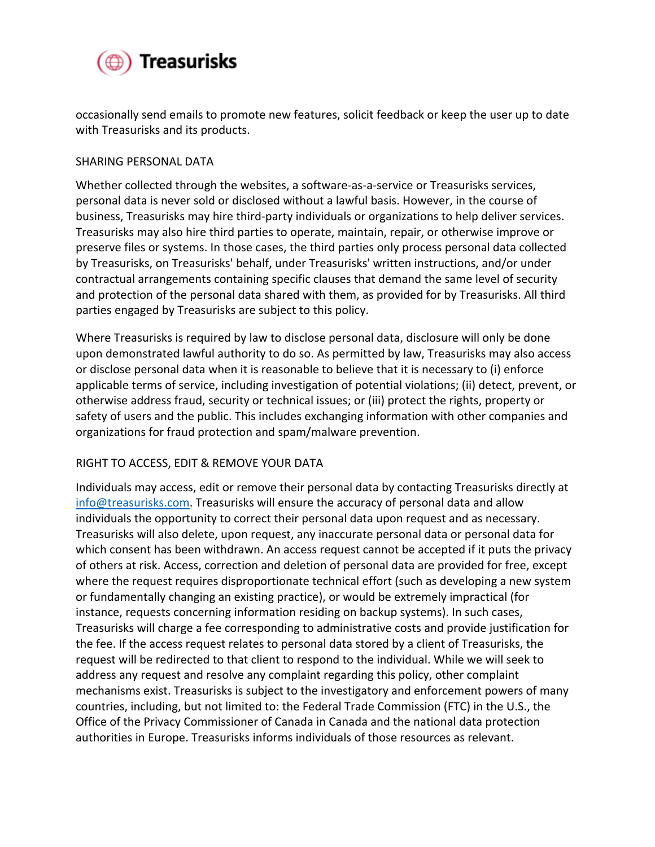

occasionally send emails to promote new features, solicit feedback or keep the user up to date with Treasurisks and its products.

## SHARING PERSONAL DATA

Whether collected through the websites, a software-as-a-service or Treasurisks services, personal data is never sold or disclosed without a lawful basis. However, in the course of business, Treasurisks may hire third-party individuals or organizations to help deliver services. Treasurisks may also hire third parties to operate, maintain, repair, or otherwise improve or preserve files or systems. In those cases, the third parties only process personal data collected by Treasurisks, on Treasurisks' behalf, under Treasurisks' written instructions, and/or under contractual arrangements containing specific clauses that demand the same level of security and protection of the personal data shared with them, as provided for by Treasurisks. All third parties engaged by Treasurisks are subject to this policy.

Where Treasurisks is required by law to disclose personal data, disclosure will only be done upon demonstrated lawful authority to do so. As permitted by law, Treasurisks may also access or disclose personal data when it is reasonable to believe that it is necessary to (i) enforce applicable terms of service, including investigation of potential violations; (ii) detect, prevent, or otherwise address fraud, security or technical issues; or (iii) protect the rights, property or safety of users and the public. This includes exchanging information with other companies and organizations for fraud protection and spam/malware prevention.

## RIGHT TO ACCESS, EDIT & REMOVE YOUR DATA

Individuals may access, edit or remove their personal data by contacting Treasurisks directly at info@treasurisks.com. Treasurisks will ensure the accuracy of personal data and allow individuals the opportunity to correct their personal data upon request and as necessary. Treasurisks will also delete, upon request, any inaccurate personal data or personal data for which consent has been withdrawn. An access request cannot be accepted if it puts the privacy of others at risk. Access, correction and deletion of personal data are provided for free, except where the request requires disproportionate technical effort (such as developing a new system or fundamentally changing an existing practice), or would be extremely impractical (for instance, requests concerning information residing on backup systems). In such cases, Treasurisks will charge a fee corresponding to administrative costs and provide justification for the fee. If the access request relates to personal data stored by a client of Treasurisks, the request will be redirected to that client to respond to the individual. While we will seek to address any request and resolve any complaint regarding this policy, other complaint mechanisms exist. Treasurisks is subject to the investigatory and enforcement powers of many countries, including, but not limited to: the Federal Trade Commission (FTC) in the U.S., the Office of the Privacy Commissioner of Canada in Canada and the national data protection authorities in Europe. Treasurisks informs individuals of those resources as relevant.